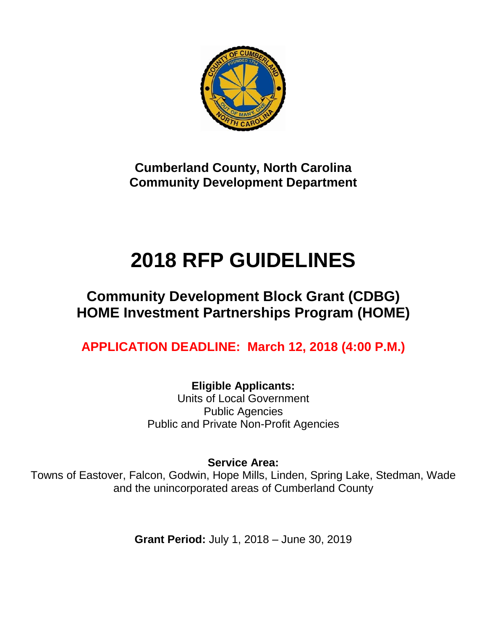

**Cumberland County, North Carolina Community Development Department**

# **2018 RFP GUIDELINES**

# **Community Development Block Grant (CDBG) HOME Investment Partnerships Program (HOME)**

**APPLICATION DEADLINE: March 12, 2018 (4:00 P.M.)**

**Eligible Applicants:** Units of Local Government Public Agencies Public and Private Non-Profit Agencies

**Service Area:**

Towns of Eastover, Falcon, Godwin, Hope Mills, Linden, Spring Lake, Stedman, Wade and the unincorporated areas of Cumberland County

**Grant Period:** July 1, 2018 – June 30, 2019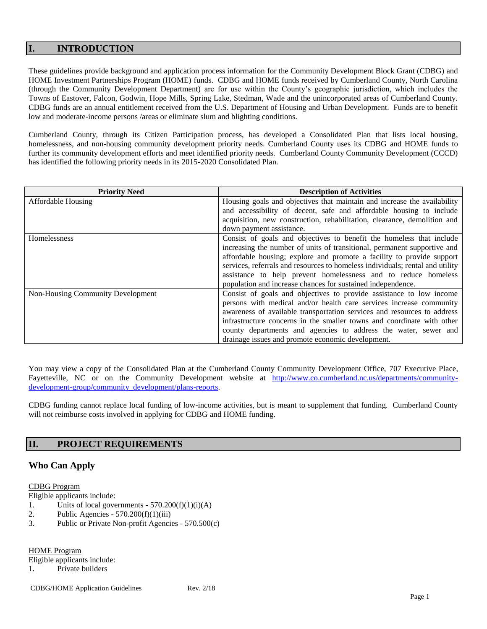# **I. INTRODUCTION**

These guidelines provide background and application process information for the Community Development Block Grant (CDBG) and HOME Investment Partnerships Program (HOME) funds. CDBG and HOME funds received by Cumberland County, North Carolina (through the Community Development Department) are for use within the County's geographic jurisdiction, which includes the Towns of Eastover, Falcon, Godwin, Hope Mills, Spring Lake, Stedman, Wade and the unincorporated areas of Cumberland County. CDBG funds are an annual entitlement received from the U.S. Department of Housing and Urban Development. Funds are to benefit low and moderate-income persons /areas or eliminate slum and blighting conditions.

Cumberland County, through its Citizen Participation process, has developed a Consolidated Plan that lists local housing, homelessness, and non-housing community development priority needs. Cumberland County uses its CDBG and HOME funds to further its community development efforts and meet identified priority needs. Cumberland County Community Development (CCCD) has identified the following priority needs in its 2015-2020 Consolidated Plan.

| <b>Priority Need</b>              | <b>Description of Activities</b>                                              |
|-----------------------------------|-------------------------------------------------------------------------------|
| <b>Affordable Housing</b>         | Housing goals and objectives that maintain and increase the availability      |
|                                   | and accessibility of decent, safe and affordable housing to include           |
|                                   | acquisition, new construction, rehabilitation, clearance, demolition and      |
|                                   | down payment assistance.                                                      |
| Homelessness                      | Consist of goals and objectives to benefit the homeless that include          |
|                                   | increasing the number of units of transitional, permanent supportive and      |
|                                   | affordable housing; explore and promote a facility to provide support         |
|                                   | services, referrals and resources to homeless individuals; rental and utility |
|                                   | assistance to help prevent homelessness and to reduce homeless                |
|                                   | population and increase chances for sustained independence.                   |
| Non-Housing Community Development | Consist of goals and objectives to provide assistance to low income           |
|                                   | persons with medical and/or health care services increase community           |
|                                   | awareness of available transportation services and resources to address       |
|                                   | infrastructure concerns in the smaller towns and coordinate with other        |
|                                   | county departments and agencies to address the water, sewer and               |
|                                   | drainage issues and promote economic development.                             |

You may view a copy of the Consolidated Plan at the Cumberland County Community Development Office, 707 Executive Place, Fayetteville, NC or on the Community Development website at [http://www.co.cumberland.nc.us/departments/community](http://www.co.cumberland.nc.us/departments/community-development-group/community_development/plans-reports)[development-group/community\\_development/plans-reports.](http://www.co.cumberland.nc.us/departments/community-development-group/community_development/plans-reports)

CDBG funding cannot replace local funding of low-income activities, but is meant to supplement that funding. Cumberland County will not reimburse costs involved in applying for CDBG and HOME funding.

# **II. PROJECT REQUIREMENTS**

# **Who Can Apply**

#### CDBG Program

Eligible applicants include:

- 1. Units of local governments  $570.200(f)(1)(i)(A)$
- 2. Public Agencies  $570.200(f)(1)(iii)$
- 3. Public or Private Non-profit Agencies 570.500(c)

HOME Program

Eligible applicants include:

1. Private builders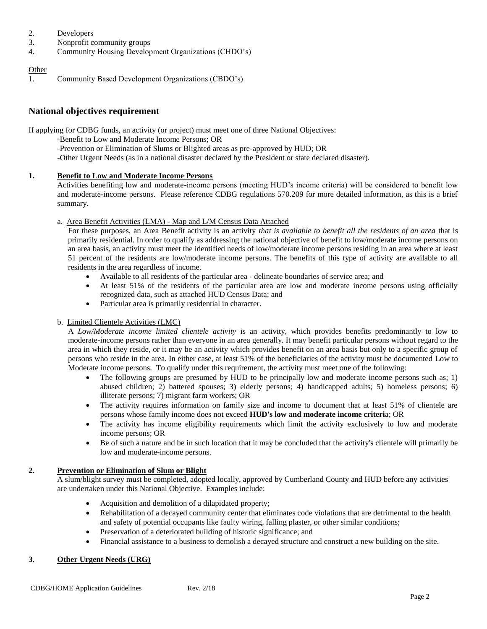- 2. Developers
- 3. Nonprofit community groups
- 4. Community Housing Development Organizations (CHDO's)

### **Other**

1. Community Based Development Organizations (CBDO's)

# **National objectives requirement**

If applying for CDBG funds, an activity (or project) must meet one of three National Objectives:

- -Benefit to Low and Moderate Income Persons; OR
	- -Prevention or Elimination of Slums or Blighted areas as pre-approved by HUD; OR
	- -Other Urgent Needs (as in a national disaster declared by the President or state declared disaster).

# **1. Benefit to Low and Moderate Income Persons**

Activities benefiting low and moderate-income persons (meeting HUD's income criteria) will be considered to benefit low and moderate-income persons. Please reference CDBG regulations 570.209 for more detailed information, as this is a brief summary.

# a. Area Benefit Activities (LMA) - Map and L/M Census Data Attached

For these purposes, an Area Benefit activity is an activity *that is available to benefit all the residents of an area* that is primarily residential. In order to qualify as addressing the national objective of benefit to low/moderate income persons on an area basis, an activity must meet the identified needs of low/moderate income persons residing in an area where at least 51 percent of the residents are low/moderate income persons. The benefits of this type of activity are available to all residents in the area regardless of income.

- Available to all residents of the particular area delineate boundaries of service area; and
- At least 51% of the residents of the particular area are low and moderate income persons using officially recognized data, such as attached HUD Census Data; and
- Particular area is primarily residential in character.

# b. Limited Clientele Activities (LMC)

A *Low/Moderate income limited clientele activity* is an activity, which provides benefits predominantly to low to moderate-income persons rather than everyone in an area generally. It may benefit particular persons without regard to the area in which they reside, or it may be an activity which provides benefit on an area basis but only to a specific group of persons who reside in the area. In either case, at least 51% of the beneficiaries of the activity must be documented Low to Moderate income persons. To qualify under this requirement, the activity must meet one of the following:

- The following groups are presumed by HUD to be principally low and moderate income persons such as; 1) abused children; 2) battered spouses; 3) elderly persons; 4) handicapped adults; 5) homeless persons; 6) illiterate persons; 7) migrant farm workers; OR
- The activity requires information on family size and income to document that at least 51% of clientele are persons whose family income does not exceed **HUD's low and moderate income criteri**a; OR
- The activity has income eligibility requirements which limit the activity exclusively to low and moderate income persons; OR
- Be of such a nature and be in such location that it may be concluded that the activity's clientele will primarily be low and moderate-income persons.

# **2. Prevention or Elimination of Slum or Blight**

A slum/blight survey must be completed, adopted locally, approved by Cumberland County and HUD before any activities are undertaken under this National Objective. Examples include:

- Acquisition and demolition of a dilapidated property;
- Rehabilitation of a decayed community center that eliminates code violations that are detrimental to the health and safety of potential occupants like faulty wiring, falling plaster, or other similar conditions;
- Preservation of a deteriorated building of historic significance; and
- Financial assistance to a business to demolish a decayed structure and construct a new building on the site.

# **3**. **Other Urgent Needs (URG)**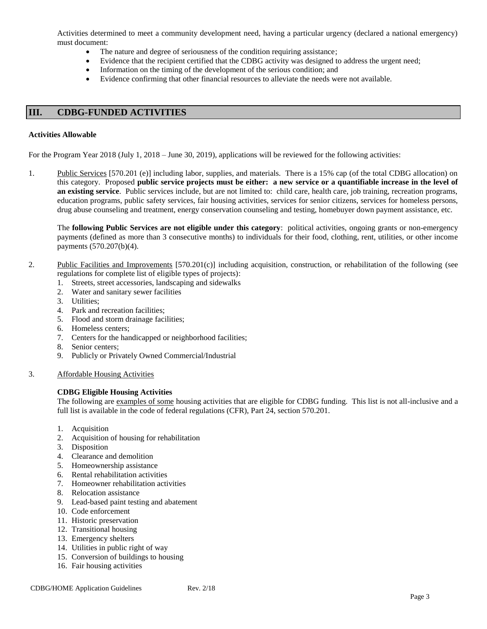Activities determined to meet a community development need, having a particular urgency (declared a national emergency) must document:

- The nature and degree of seriousness of the condition requiring assistance;
- Evidence that the recipient certified that the CDBG activity was designed to address the urgent need;
- Information on the timing of the development of the serious condition; and
- Evidence confirming that other financial resources to alleviate the needs were not available.

### **III. CDBG-FUNDED ACTIVITIES**

#### **Activities Allowable**

For the Program Year 2018 (July 1, 2018 – June 30, 2019), applications will be reviewed for the following activities:

1. Public Services [570.201 (e)] including labor, supplies, and materials. There is a 15% cap (of the total CDBG allocation) on this category. Proposed **public service projects must be either: a new service or a quantifiable increase in the level of an existing service**. Public services include, but are not limited to: child care, health care, job training, recreation programs, education programs, public safety services, fair housing activities, services for senior citizens, services for homeless persons, drug abuse counseling and treatment, energy conservation counseling and testing, homebuyer down payment assistance, etc.

The **following Public Services are not eligible under this category**: political activities, ongoing grants or non-emergency payments (defined as more than 3 consecutive months) to individuals for their food, clothing, rent, utilities, or other income payments (570.207(b)(4).

- 2. Public Facilities and Improvements [570.201(c)] including acquisition, construction, or rehabilitation of the following (see regulations for complete list of eligible types of projects):
	- 1. Streets, street accessories, landscaping and sidewalks
	- 2. Water and sanitary sewer facilities
	- 3. Utilities;
	- 4. Park and recreation facilities;
	- 5. Flood and storm drainage facilities;
	- 6. Homeless centers;
	- 7. Centers for the handicapped or neighborhood facilities;
	- 8. Senior centers;
	- 9. Publicly or Privately Owned Commercial/Industrial
- 3. Affordable Housing Activities

#### **CDBG Eligible Housing Activities**

The following are examples of some housing activities that are eligible for CDBG funding. This list is not all-inclusive and a full list is available in the code of federal regulations (CFR), Part 24, section 570.201.

- 1. Acquisition
- 2. Acquisition of housing for rehabilitation
- 3. Disposition
- 4. Clearance and demolition
- 5. Homeownership assistance
- 6. Rental rehabilitation activities
- 7. Homeowner rehabilitation activities
- 8. Relocation assistance
- 9. Lead-based paint testing and abatement
- 10. Code enforcement
- 11. Historic preservation
- 12. Transitional housing
- 13. Emergency shelters
- 14. Utilities in public right of way
- 15. Conversion of buildings to housing
- 16. Fair housing activities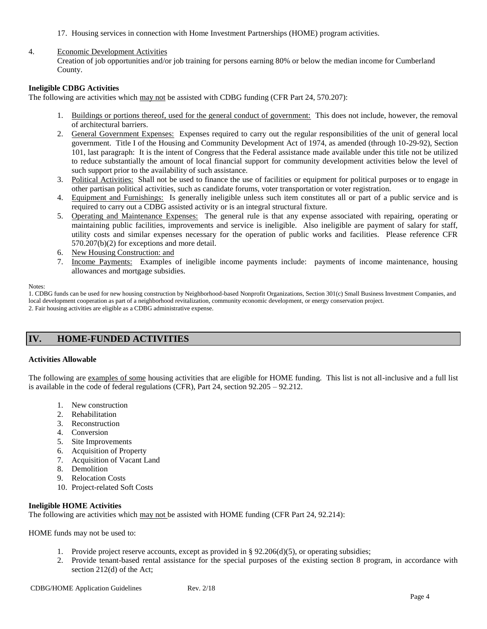17. Housing services in connection with Home Investment Partnerships (HOME) program activities.

#### 4. Economic Development Activities

Creation of job opportunities and/or job training for persons earning 80% or below the median income for Cumberland County.

#### **Ineligible CDBG Activities**

The following are activities which may not be assisted with CDBG funding (CFR Part 24, 570.207):

- 1. Buildings or portions thereof, used for the general conduct of government: This does not include, however, the removal of architectural barriers.
- 2. General Government Expenses: Expenses required to carry out the regular responsibilities of the unit of general local government. Title I of the Housing and Community Development Act of 1974, as amended (through 10-29-92), Section 101, last paragraph: It is the intent of Congress that the Federal assistance made available under this title not be utilized to reduce substantially the amount of local financial support for community development activities below the level of such support prior to the availability of such assistance.
- 3. Political Activities: Shall not be used to finance the use of facilities or equipment for political purposes or to engage in other partisan political activities, such as candidate forums, voter transportation or voter registration.
- 4. Equipment and Furnishings: Is generally ineligible unless such item constitutes all or part of a public service and is required to carry out a CDBG assisted activity or is an integral structural fixture.
- 5. Operating and Maintenance Expenses: The general rule is that any expense associated with repairing, operating or maintaining public facilities, improvements and service is ineligible. Also ineligible are payment of salary for staff, utility costs and similar expenses necessary for the operation of public works and facilities. Please reference CFR 570.207(b)(2) for exceptions and more detail.
- 6. New Housing Construction: and
- 7. Income Payments: Examples of ineligible income payments include: payments of income maintenance, housing allowances and mortgage subsidies.

#### Notes:

1. CDBG funds can be used for new housing construction by Neighborhood-based Nonprofit Organizations, Section 301(c) Small Business Investment Companies, and local development cooperation as part of a neighborhood revitalization, community economic development, or energy conservation project. 2. Fair housing activities are eligible as a CDBG administrative expense.

# **IV. HOME-FUNDED ACTIVITIES**

#### **Activities Allowable**

The following are examples of some housing activities that are eligible for HOME funding. This list is not all-inclusive and a full list is available in the code of federal regulations (CFR), Part 24, section 92.205 – 92.212.

- 1. New construction
- 2. Rehabilitation
- 3. Reconstruction
- 4. Conversion
- 5. Site Improvements
- 6. Acquisition of Property
- 7. Acquisition of Vacant Land
- 8. Demolition
- 9. Relocation Costs
- 10. Project-related Soft Costs

#### **Ineligible HOME Activities**

The following are activities which may not be assisted with HOME funding (CFR Part 24, 92.214):

HOME funds may not be used to:

- 1. Provide project reserve accounts, except as provided in §  $92.206(d)(5)$ , or operating subsidies;
- 2. Provide tenant-based rental assistance for the special purposes of the existing section 8 program, in accordance with section 212(d) of the Act;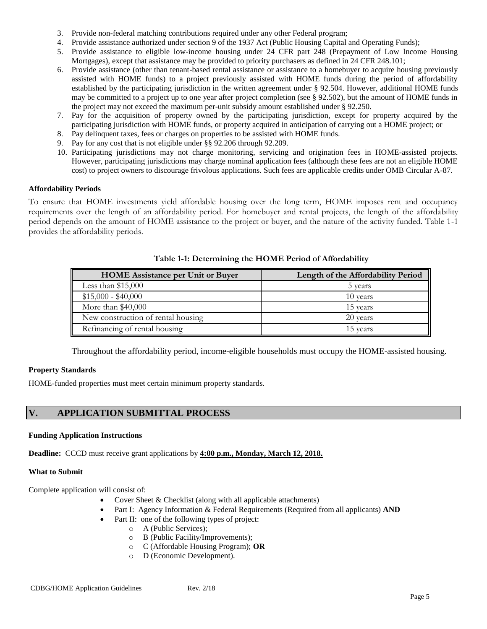- 3. Provide non-federal matching contributions required under any other Federal program;
- 4. Provide assistance authorized under section 9 of the 1937 Act (Public Housing Capital and Operating Funds);
- 5. Provide assistance to eligible low-income housing under 24 CFR part 248 (Prepayment of Low Income Housing Mortgages), except that assistance may be provided to priority purchasers as defined in 24 CFR 248.101;
- 6. Provide assistance (other than tenant-based rental assistance or assistance to a homebuyer to acquire housing previously assisted with HOME funds) to a project previously assisted with HOME funds during the period of affordability established by the participating jurisdiction in the written agreement under § 92.504. However, additional HOME funds may be committed to a project up to one year after project completion (see § 92.502), but the amount of HOME funds in the project may not exceed the maximum per-unit subsidy amount established under § 92.250.
- 7. Pay for the acquisition of property owned by the participating jurisdiction, except for property acquired by the participating jurisdiction with HOME funds, or property acquired in anticipation of carrying out a HOME project; or
- 8. Pay delinquent taxes, fees or charges on properties to be assisted with HOME funds.
- 9. Pay for any cost that is not eligible under §§ 92.206 through 92.209.
- 10. Participating jurisdictions may not charge monitoring, servicing and origination fees in HOME-assisted projects. However, participating jurisdictions may charge nominal application fees (although these fees are not an eligible HOME cost) to project owners to discourage frivolous applications. Such fees are applicable credits under OMB Circular A-87.

#### **Affordability Periods**

To ensure that HOME investments yield affordable housing over the long term, HOME imposes rent and occupancy requirements over the length of an affordability period. For homebuyer and rental projects, the length of the affordability period depends on the amount of HOME assistance to the project or buyer, and the nature of the activity funded. Table 1-1 provides the affordability periods.

| <b>HOME</b> Assistance per Unit or Buyer | Length of the Affordability Period |  |
|------------------------------------------|------------------------------------|--|
| Less than $$15,000$                      | 5 years                            |  |
| $$15,000 - $40,000$                      | 10 years                           |  |
| More than $$40,000$                      | 15 years                           |  |
| New construction of rental housing       | 20 years                           |  |
| Refinancing of rental housing            | 15 years                           |  |

**Table 1-1: Determining the HOME Period of Affordability**

Throughout the affordability period, income-eligible households must occupy the HOME-assisted housing.

#### **Property Standards**

HOME-funded properties must meet certain minimum property standards.

# **V. APPLICATION SUBMITTAL PROCESS**

#### **Funding Application Instructions**

**Deadline:** CCCD must receive grant applications by **4:00 p.m., Monday, March 12, 2018.**

#### **What to Submit**

Complete application will consist of:

- Cover Sheet & Checklist (along with all applicable attachments)
- Part I: Agency Information & Federal Requirements (Required from all applicants) **AND**
- Part II: one of the following types of project:
	- o A (Public Services);
	- o B (Public Facility/Improvements);
	- o C (Affordable Housing Program); **OR**
	- o D (Economic Development).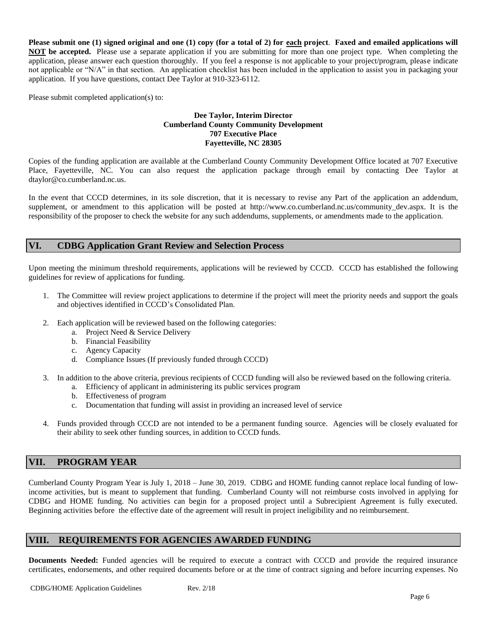**Please submit one (1) signed original and one (1) copy (for a total of 2) for each project**. **Faxed and emailed applications will NOT be accepted.** Please use a separate application if you are submitting for more than one project type. When completing the application, please answer each question thoroughly. If you feel a response is not applicable to your project/program, please indicate not applicable or "N/A" in that section. An application checklist has been included in the application to assist you in packaging your application. If you have questions, contact Dee Taylor at 910-323-6112.

Please submit completed application(s) to:

#### **Dee Taylor, Interim Director Cumberland County Community Development 707 Executive Place Fayetteville, NC 28305**

Copies of the funding application are available at the Cumberland County Community Development Office located at 707 Executive Place, Fayetteville, NC. You can also request the application package through email by contacting Dee Taylor at dtaylor@co.cumberland.nc.us.

In the event that CCCD determines, in its sole discretion, that it is necessary to revise any Part of the application an addendum, supplement, or amendment to this application will be posted at http://www.co.cumberland.nc.us/community dev.aspx. It is the responsibility of the proposer to check the website for any such addendums, supplements, or amendments made to the application.

# **VI. CDBG Application Grant Review and Selection Process**

Upon meeting the minimum threshold requirements, applications will be reviewed by CCCD. CCCD has established the following guidelines for review of applications for funding.

- 1. The Committee will review project applications to determine if the project will meet the priority needs and support the goals and objectives identified in CCCD's Consolidated Plan.
- 2. Each application will be reviewed based on the following categories:
	- a. Project Need & Service Delivery
	- b. Financial Feasibility
	- c. Agency Capacity
	- d. Compliance Issues (If previously funded through CCCD)
- 3. In addition to the above criteria, previous recipients of CCCD funding will also be reviewed based on the following criteria.
	- a. Efficiency of applicant in administering its public services program
	- b. Effectiveness of program
	- c. Documentation that funding will assist in providing an increased level of service
- 4. Funds provided through CCCD are not intended to be a permanent funding source. Agencies will be closely evaluated for their ability to seek other funding sources, in addition to CCCD funds.

# **VII. PROGRAM YEAR**

Cumberland County Program Year is July 1, 2018 – June 30, 2019. CDBG and HOME funding cannot replace local funding of lowincome activities, but is meant to supplement that funding. Cumberland County will not reimburse costs involved in applying for CDBG and HOME funding. No activities can begin for a proposed project until a Subrecipient Agreement is fully executed. Beginning activities before the effective date of the agreement will result in project ineligibility and no reimbursement.

# **VIII. REQUIREMENTS FOR AGENCIES AWARDED FUNDING**

**Documents Needed:** Funded agencies will be required to execute a contract with CCCD and provide the required insurance certificates, endorsements, and other required documents before or at the time of contract signing and before incurring expenses. No

CDBG/HOME Application Guidelines Rev. 2/18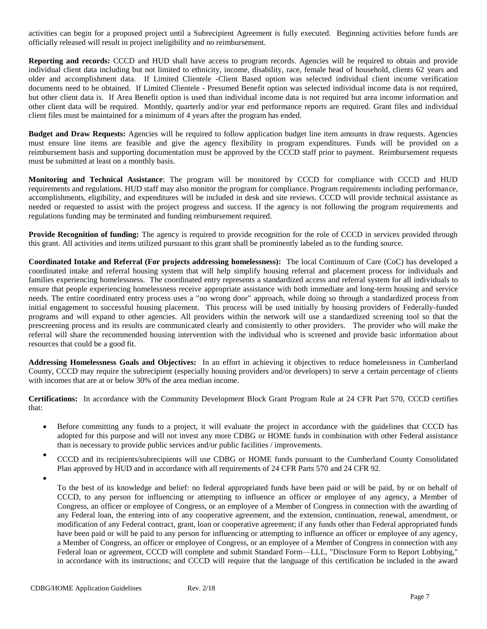activities can begin for a proposed project until a Subrecipient Agreement is fully executed. Beginning activities before funds are officially released will result in project ineligibility and no reimbursement.

**Reporting and records:** CCCD and HUD shall have access to program records. Agencies will be required to obtain and provide individual client data including but not limited to ethnicity, income, disability, race, female head of household, clients 62 years and older and accomplishment data. If Limited Clientele -Client Based option was selected individual client income verification documents need to be obtained. If Limited Clientele - Presumed Benefit option was selected individual income data is not required, but other client data is. If Area Benefit option is used than individual income data is not required but area income information and other client data will be required. Monthly, quarterly and/or year end performance reports are required. Grant files and individual client files must be maintained for a minimum of 4 years after the program has ended.

**Budget and Draw Requests:** Agencies will be required to follow application budget line item amounts in draw requests. Agencies must ensure line items are feasible and give the agency flexibility in program expenditures. Funds will be provided on a reimbursement basis and supporting documentation must be approved by the CCCD staff prior to payment. Reimbursement requests must be submitted at least on a monthly basis.

**Monitoring and Technical Assistance**: The program will be monitored by CCCD for compliance with CCCD and HUD requirements and regulations. HUD staff may also monitor the program for compliance. Program requirements including performance, accomplishments, eligibility, and expenditures will be included in desk and site reviews. CCCD will provide technical assistance as needed or requested to assist with the project progress and success. If the agency is not following the program requirements and regulations funding may be terminated and funding reimbursement required.

**Provide Recognition of funding:** The agency is required to provide recognition for the role of CCCD in services provided through this grant. All activities and items utilized pursuant to this grant shall be prominently labeled as to the funding source.

**Coordinated Intake and Referral (For projects addressing homelessness):** The local Continuum of Care (CoC) has developed a coordinated intake and referral housing system that will help simplify housing referral and placement process for individuals and families experiencing homelessness. The coordinated entry represents a standardized access and referral system for all individuals to ensure that people experiencing homelessness receive appropriate assistance with both immediate and long-term housing and service needs. The entire coordinated entry process uses a "no wrong door" approach, while doing so through a standardized process from initial engagement to successful housing placement. This process will be used initially by housing providers of Federally-funded programs and will expand to other agencies. All providers within the network will use a standardized screening tool so that the prescreening process and its results are communicated clearly and consistently to other providers. The provider who will make the referral will share the recommended housing intervention with the individual who is screened and provide basic information about resources that could be a good fit.

**Addressing Homelessness Goals and Objectives:** In an effort in achieving it objectives to reduce homelessness in Cumberland County, CCCD may require the subrecipient (especially housing providers and/or developers) to serve a certain percentage of clients with incomes that are at or below 30% of the area median income.

**Certifications:** In accordance with the Community Development Block Grant Program Rule at 24 CFR Part 570, CCCD certifies that:

- Before committing any funds to a project, it will evaluate the project in accordance with the guidelines that CCCD has adopted for this purpose and will not invest any more CDBG or HOME funds in combination with other Federal assistance than is necessary to provide public services and/or public facilities / improvements.
- CCCD and its recipients/subrecipients will use CDBG or HOME funds pursuant to the Cumberland County Consolidated Plan approved by HUD and in accordance with all requirements of 24 CFR Parts 570 and 24 CFR 92.
- •

To the best of its knowledge and belief: no federal appropriated funds have been paid or will be paid, by or on behalf of CCCD, to any person for influencing or attempting to influence an officer or employee of any agency, a Member of Congress, an officer or employee of Congress, or an employee of a Member of Congress in connection with the awarding of any Federal loan, the entering into of any cooperative agreement, and the extension, continuation, renewal, amendment, or modification of any Federal contract, grant, loan or cooperative agreement; if any funds other than Federal appropriated funds have been paid or will be paid to any person for influencing or attempting to influence an officer or employee of any agency, a Member of Congress, an officer or employee of Congress, or an employee of a Member of Congress in connection with any Federal loan or agreement, CCCD will complete and submit Standard Form—LLL, "Disclosure Form to Report Lobbying," in accordance with its instructions; and CCCD will require that the language of this certification be included in the award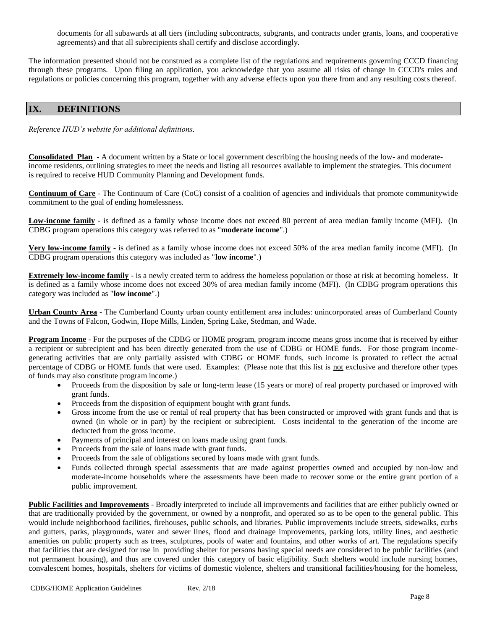documents for all subawards at all tiers (including subcontracts, subgrants, and contracts under grants, loans, and cooperative agreements) and that all subrecipients shall certify and disclose accordingly.

The information presented should not be construed as a complete list of the regulations and requirements governing CCCD financing through these programs. Upon filing an application, you acknowledge that you assume all risks of change in CCCD's rules and regulations or policies concerning this program, together with any adverse effects upon you there from and any resulting costs thereof.

# **IX. DEFINITIONS**

*Reference HUD's website for additional definitions.*

**Consolidated Plan -** A document written by a State or local government describing the housing needs of the low- and moderateincome residents, outlining strategies to meet the needs and listing all resources available to implement the strategies. This document is required to receive HUD Community Planning and Development funds.

**Continuum of Care** - The Continuum of Care (CoC) consist of a coalition of agencies and individuals that promote communitywide commitment to the goal of ending homelessness.

**Low-income family** - is defined as a family whose income does not exceed 80 percent of area median family income (MFI). (In CDBG program operations this category was referred to as "**moderate income**".)

**Very low-income family** - is defined as a family whose income does not exceed 50% of the area median family income (MFI). (In CDBG program operations this category was included as "**low income**".)

**Extremely low-income family** - is a newly created term to address the homeless population or those at risk at becoming homeless. It is defined as a family whose income does not exceed 30% of area median family income (MFI). (In CDBG program operations this category was included as "**low income**".)

**Urban County Area** - The Cumberland County urban county entitlement area includes: unincorporated areas of Cumberland County and the Towns of Falcon, Godwin, Hope Mills, Linden, Spring Lake, Stedman, and Wade.

**Program Income** - For the purposes of the CDBG or HOME program, program income means gross income that is received by either a recipient or subrecipient and has been directly generated from the use of CDBG or HOME funds. For those program incomegenerating activities that are only partially assisted with CDBG or HOME funds, such income is prorated to reflect the actual percentage of CDBG or HOME funds that were used. Examples: (Please note that this list is not exclusive and therefore other types of funds may also constitute program income.)

- Proceeds from the disposition by sale or long-term lease (15 years or more) of real property purchased or improved with grant funds.
- Proceeds from the disposition of equipment bought with grant funds.
- Gross income from the use or rental of real property that has been constructed or improved with grant funds and that is owned (in whole or in part) by the recipient or subrecipient. Costs incidental to the generation of the income are deducted from the gross income.
- Payments of principal and interest on loans made using grant funds.
- Proceeds from the sale of loans made with grant funds.
- Proceeds from the sale of obligations secured by loans made with grant funds.
- Funds collected through special assessments that are made against properties owned and occupied by non-low and moderate-income households where the assessments have been made to recover some or the entire grant portion of a public improvement.

**Public Facilities and Improvements** - Broadly interpreted to include all improvements and facilities that are either publicly owned or that are traditionally provided by the government, or owned by a nonprofit, and operated so as to be open to the general public. This would include neighborhood facilities, firehouses, public schools, and libraries. Public improvements include streets, sidewalks, curbs and gutters, parks, playgrounds, water and sewer lines, flood and drainage improvements, parking lots, utility lines, and aesthetic amenities on public property such as trees, sculptures, pools of water and fountains, and other works of art. The regulations specify that facilities that are designed for use in providing shelter for persons having special needs are considered to be public facilities (and not permanent housing), and thus are covered under this category of basic eligibility. Such shelters would include nursing homes, convalescent homes, hospitals, shelters for victims of domestic violence, shelters and transitional facilities/housing for the homeless,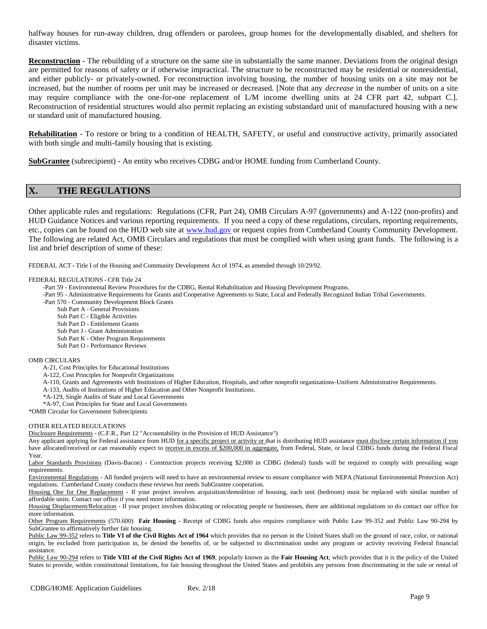halfway houses for run-away children, drug offenders or parolees, group homes for the developmentally disabled, and shelters for disaster victims.

**Reconstruction** - The rebuilding of a structure on the same site in substantially the same manner. Deviations from the original design are permitted for reasons of safety or if otherwise impractical. The structure to be reconstructed may be residential or nonresidential, and either publicly- or privately-owned. For reconstruction involving housing, the number of housing units on a site may not be increased, but the number of rooms per unit may be increased or decreased. [Note that any *decrease* in the number of units on a site may require compliance with the one-for-one replacement of L/M income dwelling units at 24 CFR part 42, subpart C.]. Reconstruction of residential structures would also permit replacing an existing substandard unit of manufactured housing with a new or standard unit of manufactured housing.

**Rehabilitation** - To restore or bring to a condition of HEALTH, SAFETY, or useful and constructive activity, primarily associated with both single and multi-family housing that is existing.

**SubGrantee** (subrecipient) - An entity who receives CDBG and/or HOME funding from Cumberland County.

# **X. THE REGULATIONS**

Other applicable rules and regulations: Regulations (CFR, Part 24), OMB Circulars A-97 (governments) and A-122 (non-profits) and HUD Guidance Notices and various reporting requirements. If you need a copy of these regulations, circulars, reporting requirements, etc., copies can be found on the HUD web site at [www.hud.gov](http://www.hud.gov/) or request copies from Cumberland County Community Development. The following are related Act, OMB Circulars and regulations that must be complied with when using grant funds. The following is a list and brief description of some of these:

FEDERAL ACT **-** Title I of the Housing and Community Development Act of 1974, as amended through 10/29/92.

#### FEDERAL REGULATIONS - CFR Title 24

- -Part 59 Environmental Review Procedures for the CDBG, Rental Rehabilitation and Housing Development Programs.
- -Part 95 Administrative Requirements for Grants and Cooperative Agreements to State, Local and Federally Recognized Indian Tribal Governments.

-Part 570 - Community Development Block Grants

- Sub Part A General Provisions
- Sub Part C Eligible Activities
- Sub Part D Entitlement Grants
- Sub Part J Grant Administration
- Sub Part K Other Program Requirements
- Sub Part O Performance Reviews

#### OMB CIRCULARS

- A-21, Cost Principles for Educational Institutions
- A-122, Cost Principles for Nonprofit Organizations
- A-110, Grants and Agreements with Institutions of Higher Education, Hospitals, and other nonprofit organizations-Uniform Administrative Requirements.
- A-133, Audits of Institutions of Higher Education and Other Nonprofit Institutions.
- \*A-129, Single Audits of State and Local Governments
- \*A-97, Cost Principles for State and Local Governments
- \*OMB Circular for Government Subrecipients

#### OTHER RELATED REGULATIONS

Disclosure Requirements - (C.F.R., Part 12 "Accountability in the Provision of HUD Assistance")

Any applicant applying for Federal assistance from HUD for a specific project or activity or that is distributing HUD assistance must disclose certain information if you have allocated/received or can reasonably expect to receive in excess of \$200,000 in aggregate, from Federal, State, or local CDBG funds during the Federal Fiscal Year.

Labor Standards Provisions (Davis-Bacon) - Construction projects receiving \$2,000 in CDBG (federal) funds will be required to comply with prevailing wage requirements.

Environmental Regulations - All funded projects will need to have an environmental review to ensure compliance with NEPA (National Environmental Protection Act) regulations. Cumberland County conducts these reviews but needs SubGrantee cooperation.

Housing One for One Replacement - If your project involves acquisition/demolition of housing, each unit (bedroom) must be replaced with similar number of affordable units. Contact our office if you need more information.

Housing Displacement/Relocation - If your project involves dislocating or relocating people or businesses, there are additional regulations so do contact our office for more information.

Other Program Requirements (570.600) **Fair Housing -** Receipt of CDBG funds also requires compliance with Public Law 99-352 and Public Law 90-294 by SubGrantee to affirmatively further fair housing.

Public Law 99-352 refers to **Title VI of the Civil Rights Act of 1964** which provides that no person in the United States shall on the ground of race, color, or national origin, be excluded from participation in, be denied the benefits of, or be subjected to discrimination under any program or activity receiving Federal financial assistance.

Public Law 90-294 refers to **Title VIII of the Civil Rights Act of 1969**, popularly known as the **Fair Housing Act**, which provides that it is the policy of the United States to provide, within constitutional limitations, for fair housing throughout the United States and prohibits any persons from discriminating in the sale or rental of